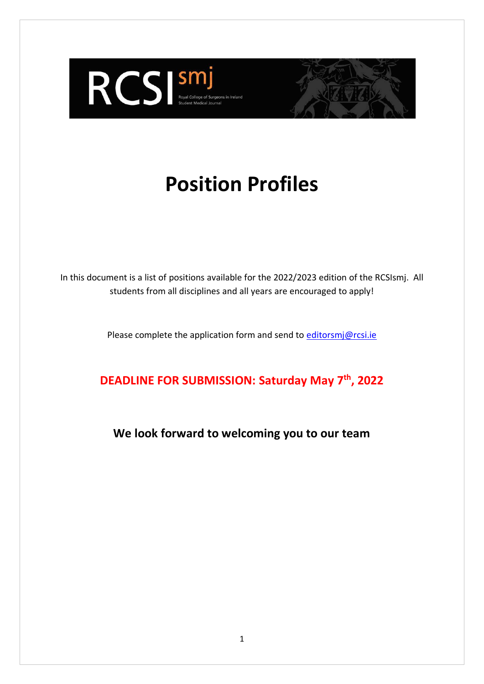

# **Position Profiles**

In this document is a list of positions available for the 2022/2023 edition of the RCSIsmj. All students from all disciplines and all years are encouraged to apply!

Please complete the application form and send to editorsmi@rcsi.ie

**DEADLINE FOR SUBMISSION: Saturday May 7th, 2022**

**We look forward to welcoming you to our team**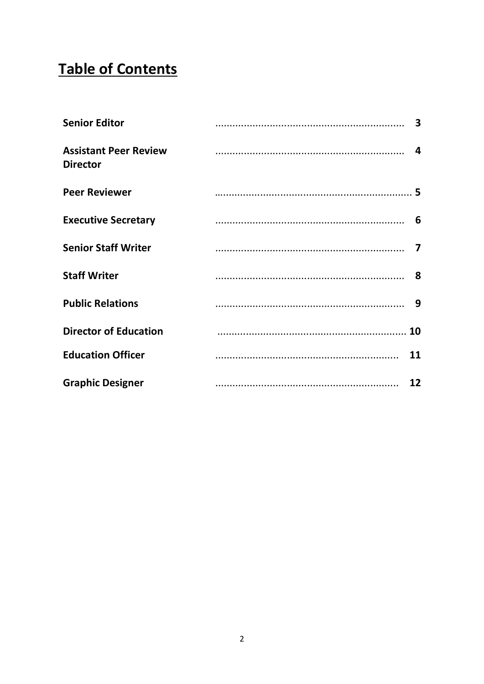# **Table of Contents**

| <b>Senior Editor</b>                            |    |
|-------------------------------------------------|----|
| <b>Assistant Peer Review</b><br><b>Director</b> |    |
| <b>Peer Reviewer</b>                            |    |
| <b>Executive Secretary</b>                      |    |
| <b>Senior Staff Writer</b>                      |    |
| <b>Staff Writer</b>                             |    |
| <b>Public Relations</b>                         |    |
| <b>Director of Education</b>                    |    |
| <b>Education Officer</b>                        | 11 |
| <b>Graphic Designer</b>                         | 12 |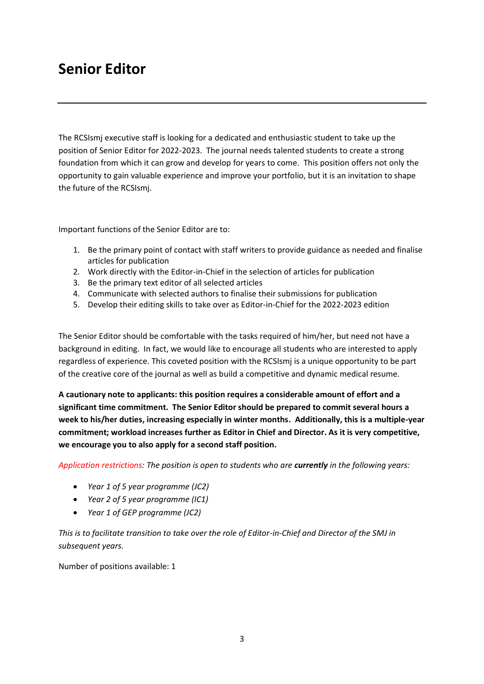## **Senior Editor**

The RCSIsmj executive staff is looking for a dedicated and enthusiastic student to take up the position of Senior Editor for 2022-2023. The journal needs talented students to create a strong foundation from which it can grow and develop for years to come. This position offers not only the opportunity to gain valuable experience and improve your portfolio, but it is an invitation to shape the future of the RCSIsmj.

Important functions of the Senior Editor are to:

- 1. Be the primary point of contact with staff writers to provide guidance as needed and finalise articles for publication
- 2. Work directly with the Editor-in-Chief in the selection of articles for publication
- 3. Be the primary text editor of all selected articles
- 4. Communicate with selected authors to finalise their submissions for publication
- 5. Develop their editing skills to take over as Editor-in-Chief for the 2022-2023 edition

The Senior Editor should be comfortable with the tasks required of him/her, but need not have a background in editing. In fact, we would like to encourage all students who are interested to apply regardless of experience. This coveted position with the RCSIsmj is a unique opportunity to be part of the creative core of the journal as well as build a competitive and dynamic medical resume.

**A cautionary note to applicants: this position requires a considerable amount of effort and a significant time commitment. The Senior Editor should be prepared to commit several hours a week to his/her duties, increasing especially in winter months. Additionally, this is a multiple-year commitment; workload increases further as Editor in Chief and Director. As it is very competitive, we encourage you to also apply for a second staff position.**

*Application restrictions: The position is open to students who are currently in the following years:*

- *Year 1 of 5 year programme (JC2)*
- *Year 2 of 5 year programme (IC1)*
- *Year 1 of GEP programme (JC2)*

*This is to facilitate transition to take over the role of Editor-in-Chief and Director of the SMJ in subsequent years.*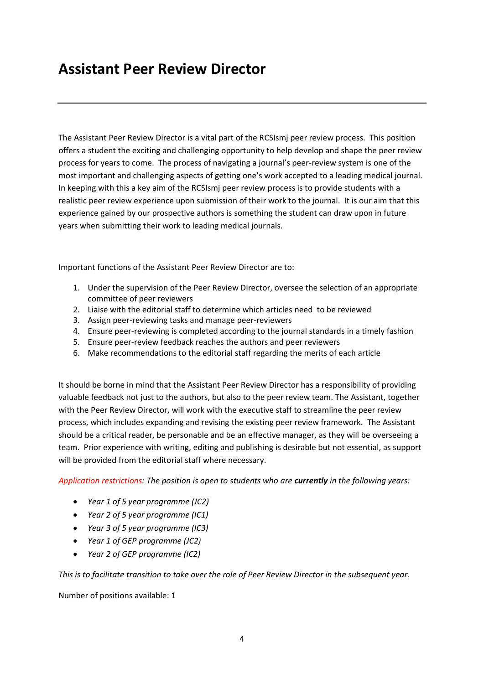#### **Assistant Peer Review Director**

The Assistant Peer Review Director is a vital part of the RCSIsmj peer review process. This position offers a student the exciting and challenging opportunity to help develop and shape the peer review process for years to come. The process of navigating a journal's peer-review system is one of the most important and challenging aspects of getting one's work accepted to a leading medical journal. In keeping with this a key aim of the RCSIsmj peer review process is to provide students with a realistic peer review experience upon submission of their work to the journal. It is our aim that this experience gained by our prospective authors is something the student can draw upon in future years when submitting their work to leading medical journals.

Important functions of the Assistant Peer Review Director are to:

- 1. Under the supervision of the Peer Review Director, oversee the selection of an appropriate committee of peer reviewers
- 2. Liaise with the editorial staff to determine which articles need to be reviewed
- 3. Assign peer-reviewing tasks and manage peer-reviewers
- 4. Ensure peer-reviewing is completed according to the journal standards in a timely fashion
- 5. Ensure peer-review feedback reaches the authors and peer reviewers
- 6. Make recommendations to the editorial staff regarding the merits of each article

It should be borne in mind that the Assistant Peer Review Director has a responsibility of providing valuable feedback not just to the authors, but also to the peer review team. The Assistant, together with the Peer Review Director, will work with the executive staff to streamline the peer review process, which includes expanding and revising the existing peer review framework. The Assistant should be a critical reader, be personable and be an effective manager, as they will be overseeing a team. Prior experience with writing, editing and publishing is desirable but not essential, as support will be provided from the editorial staff where necessary.

*Application restrictions: The position is open to students who are currently in the following years:*

- *Year 1 of 5 year programme (JC2)*
- *Year 2 of 5 year programme (IC1)*
- *Year 3 of 5 year programme (IC3)*
- *Year 1 of GEP programme (JC2)*
- *Year 2 of GEP programme (IC2)*

*This is to facilitate transition to take over the role of Peer Review Director in the subsequent year.*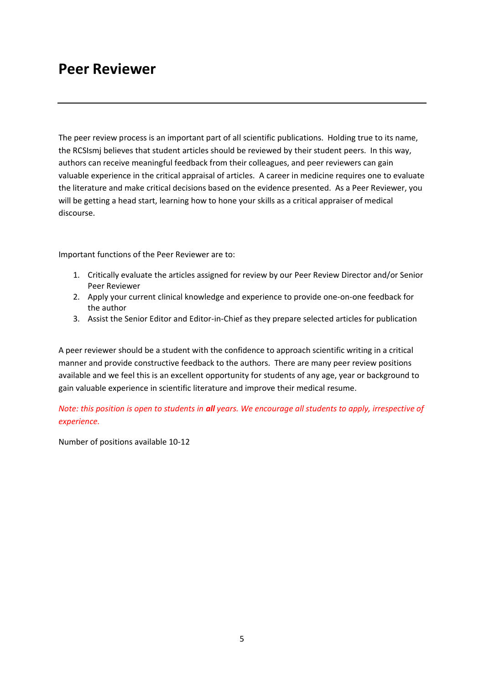#### **Peer Reviewer**

The peer review process is an important part of all scientific publications. Holding true to its name, the RCSIsmj believes that student articles should be reviewed by their student peers. In this way, authors can receive meaningful feedback from their colleagues, and peer reviewers can gain valuable experience in the critical appraisal of articles. A career in medicine requires one to evaluate the literature and make critical decisions based on the evidence presented. As a Peer Reviewer, you will be getting a head start, learning how to hone your skills as a critical appraiser of medical discourse.

Important functions of the Peer Reviewer are to:

- 1. Critically evaluate the articles assigned for review by our Peer Review Director and/or Senior Peer Reviewer
- 2. Apply your current clinical knowledge and experience to provide one-on-one feedback for the author
- 3. Assist the Senior Editor and Editor-in-Chief as they prepare selected articles for publication

A peer reviewer should be a student with the confidence to approach scientific writing in a critical manner and provide constructive feedback to the authors. There are many peer review positions available and we feel this is an excellent opportunity for students of any age, year or background to gain valuable experience in scientific literature and improve their medical resume.

*Note: this position is open to students in all years. We encourage all students to apply, irrespective of experience.*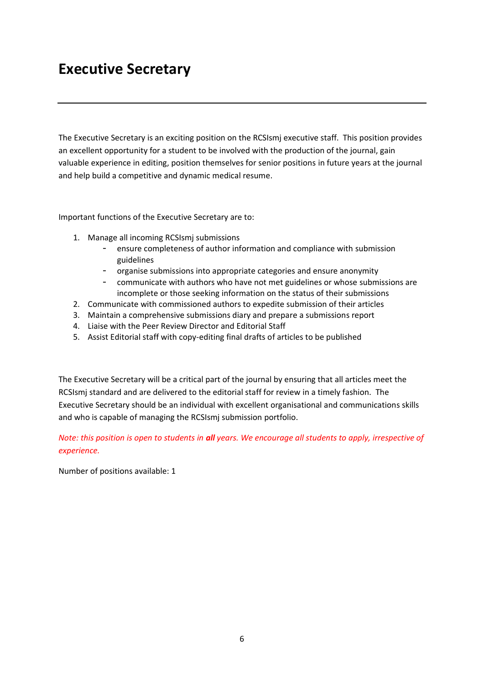### **Executive Secretary**

The Executive Secretary is an exciting position on the RCSIsmj executive staff. This position provides an excellent opportunity for a student to be involved with the production of the journal, gain valuable experience in editing, position themselves for senior positions in future years at the journal and help build a competitive and dynamic medical resume.

Important functions of the Executive Secretary are to:

- 1. Manage all incoming RCSIsmj submissions
	- ensure completeness of author information and compliance with submission guidelines
	- organise submissions into appropriate categories and ensure anonymity
	- communicate with authors who have not met guidelines or whose submissions are incomplete or those seeking information on the status of their submissions
- 2. Communicate with commissioned authors to expedite submission of their articles
- 3. Maintain a comprehensive submissions diary and prepare a submissions report
- 4. Liaise with the Peer Review Director and Editorial Staff
- 5. Assist Editorial staff with copy-editing final drafts of articles to be published

The Executive Secretary will be a critical part of the journal by ensuring that all articles meet the RCSIsmj standard and are delivered to the editorial staff for review in a timely fashion. The Executive Secretary should be an individual with excellent organisational and communications skills and who is capable of managing the RCSIsmj submission portfolio.

*Note: this position is open to students in all years. We encourage all students to apply, irrespective of experience.*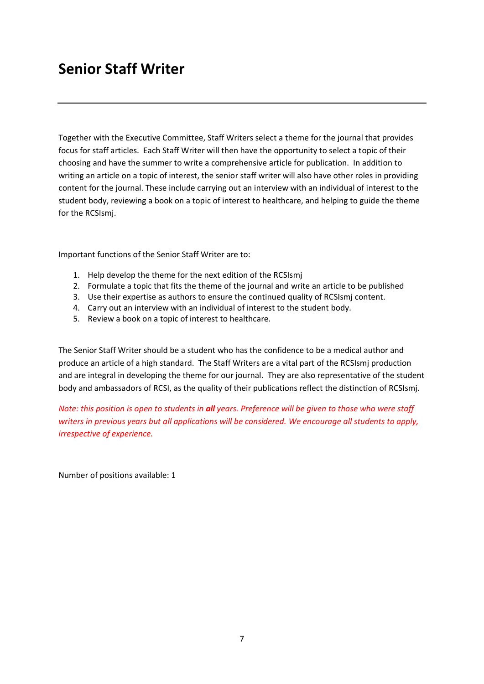### **Senior Staff Writer**

Together with the Executive Committee, Staff Writers select a theme for the journal that provides focus for staff articles. Each Staff Writer will then have the opportunity to select a topic of their choosing and have the summer to write a comprehensive article for publication. In addition to writing an article on a topic of interest, the senior staff writer will also have other roles in providing content for the journal. These include carrying out an interview with an individual of interest to the student body, reviewing a book on a topic of interest to healthcare, and helping to guide the theme for the RCSIsmj.

Important functions of the Senior Staff Writer are to:

- 1. Help develop the theme for the next edition of the RCSIsmj
- 2. Formulate a topic that fits the theme of the journal and write an article to be published
- 3. Use their expertise as authors to ensure the continued quality of RCSIsmj content.
- 4. Carry out an interview with an individual of interest to the student body.
- 5. Review a book on a topic of interest to healthcare.

The Senior Staff Writer should be a student who has the confidence to be a medical author and produce an article of a high standard. The Staff Writers are a vital part of the RCSIsmj production and are integral in developing the theme for our journal. They are also representative of the student body and ambassadors of RCSI, as the quality of their publications reflect the distinction of RCSIsmj.

*Note: this position is open to students in all years. Preference will be given to those who were staff writers in previous years but all applications will be considered. We encourage all students to apply, irrespective of experience.*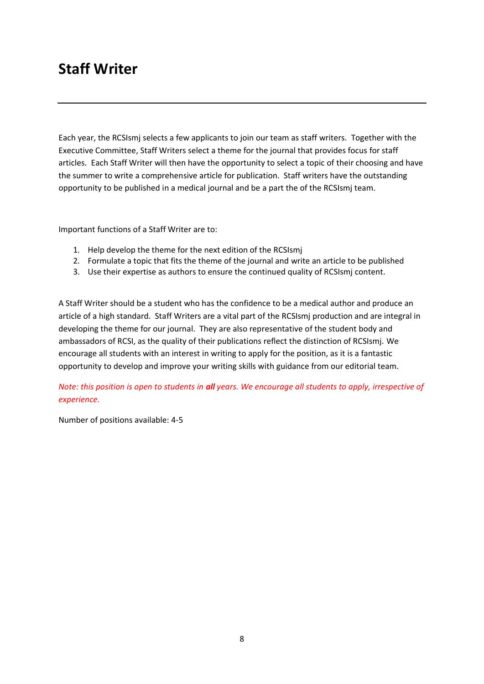#### **Staff Writer**

Each year, the RCSIsmj selects a few applicants to join our team as staff writers. Together with the Executive Committee, Staff Writers select a theme for the journal that provides focus for staff articles. Each Staff Writer will then have the opportunity to select a topic of their choosing and have the summer to write a comprehensive article for publication. Staff writers have the outstanding opportunity to be published in a medical journal and be a part the of the RCSIsmj team.

Important functions of a Staff Writer are to:

- 1. Help develop the theme for the next edition of the RCSIsmj
- 2. Formulate a topic that fits the theme of the journal and write an article to be published
- 3. Use their expertise as authors to ensure the continued quality of RCSIsmj content.

A Staff Writer should be a student who has the confidence to be a medical author and produce an article of a high standard. Staff Writers are a vital part of the RCSIsmj production and are integral in developing the theme for our journal. They are also representative of the student body and ambassadors of RCSI, as the quality of their publications reflect the distinction of RCSIsmj. We encourage all students with an interest in writing to apply for the position, as it is a fantastic opportunity to develop and improve your writing skills with guidance from our editorial team.

*Note: this position is open to students in all years. We encourage all students to apply, irrespective of experience.*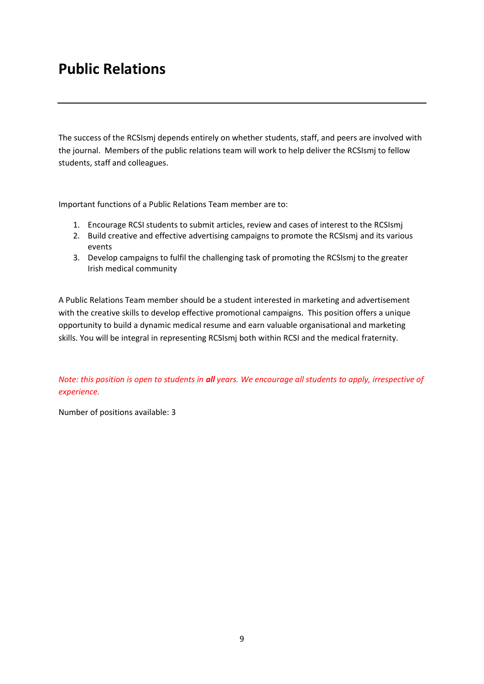## **Public Relations**

The success of the RCSIsmj depends entirely on whether students, staff, and peers are involved with the journal. Members of the public relations team will work to help deliver the RCSIsmj to fellow students, staff and colleagues.

Important functions of a Public Relations Team member are to:

- 1. Encourage RCSI students to submit articles, review and cases of interest to the RCSIsmj
- 2. Build creative and effective advertising campaigns to promote the RCSIsmj and its various events
- 3. Develop campaigns to fulfil the challenging task of promoting the RCSIsmj to the greater Irish medical community

A Public Relations Team member should be a student interested in marketing and advertisement with the creative skills to develop effective promotional campaigns. This position offers a unique opportunity to build a dynamic medical resume and earn valuable organisational and marketing skills. You will be integral in representing RCSIsmj both within RCSI and the medical fraternity.

*Note: this position is open to students in all years. We encourage all students to apply, irrespective of experience.*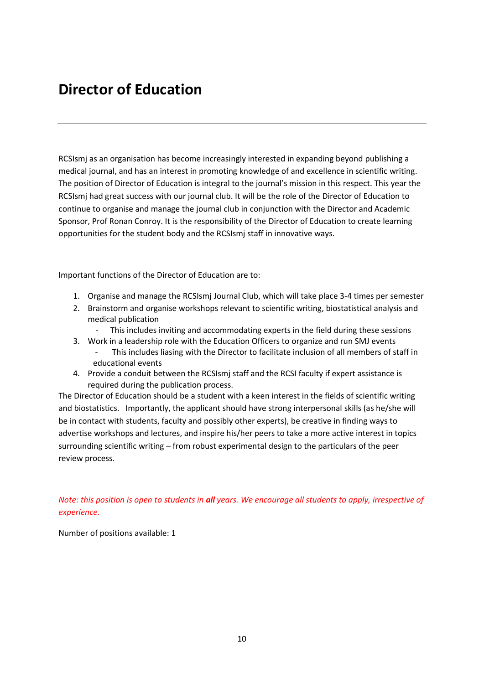#### **Director of Education**

RCSIsmj as an organisation has become increasingly interested in expanding beyond publishing a medical journal, and has an interest in promoting knowledge of and excellence in scientific writing. The position of Director of Education is integral to the journal's mission in this respect. This year the RCSIsmj had great success with our journal club. It will be the role of the Director of Education to continue to organise and manage the journal club in conjunction with the Director and Academic Sponsor, Prof Ronan Conroy. It is the responsibility of the Director of Education to create learning opportunities for the student body and the RCSIsmj staff in innovative ways.

Important functions of the Director of Education are to:

- 1. Organise and manage the RCSIsmj Journal Club, which will take place 3-4 times per semester
- 2. Brainstorm and organise workshops relevant to scientific writing, biostatistical analysis and medical publication
	- This includes inviting and accommodating experts in the field during these sessions
- 3. Work in a leadership role with the Education Officers to organize and run SMJ events This includes liasing with the Director to facilitate inclusion of all members of staff in educational events
- 4. Provide a conduit between the RCSIsmj staff and the RCSI faculty if expert assistance is required during the publication process.

The Director of Education should be a student with a keen interest in the fields of scientific writing and biostatistics. Importantly, the applicant should have strong interpersonal skills (as he/she will be in contact with students, faculty and possibly other experts), be creative in finding ways to advertise workshops and lectures, and inspire his/her peers to take a more active interest in topics surrounding scientific writing – from robust experimental design to the particulars of the peer review process.

*Note: this position is open to students in all years. We encourage all students to apply, irrespective of experience.*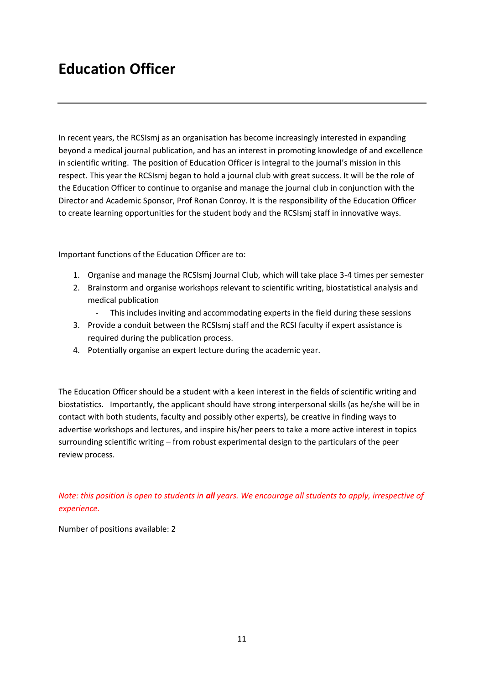## **Education Officer**

In recent years, the RCSIsmj as an organisation has become increasingly interested in expanding beyond a medical journal publication, and has an interest in promoting knowledge of and excellence in scientific writing. The position of Education Officer is integral to the journal's mission in this respect. This year the RCSIsmj began to hold a journal club with great success. It will be the role of the Education Officer to continue to organise and manage the journal club in conjunction with the Director and Academic Sponsor, Prof Ronan Conroy. It is the responsibility of the Education Officer to create learning opportunities for the student body and the RCSIsmj staff in innovative ways.

Important functions of the Education Officer are to:

- 1. Organise and manage the RCSIsmj Journal Club, which will take place 3-4 times per semester
- 2. Brainstorm and organise workshops relevant to scientific writing, biostatistical analysis and medical publication
	- This includes inviting and accommodating experts in the field during these sessions
- 3. Provide a conduit between the RCSIsmj staff and the RCSI faculty if expert assistance is required during the publication process.
- 4. Potentially organise an expert lecture during the academic year.

The Education Officer should be a student with a keen interest in the fields of scientific writing and biostatistics. Importantly, the applicant should have strong interpersonal skills (as he/she will be in contact with both students, faculty and possibly other experts), be creative in finding ways to advertise workshops and lectures, and inspire his/her peers to take a more active interest in topics surrounding scientific writing – from robust experimental design to the particulars of the peer review process.

*Note: this position is open to students in all years. We encourage all students to apply, irrespective of experience.*